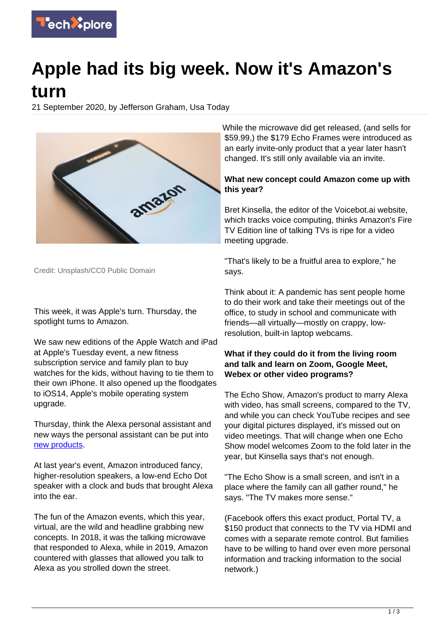

# **Apple had its big week. Now it's Amazon's turn**

21 September 2020, by Jefferson Graham, Usa Today



Credit: Unsplash/CC0 Public Domain

This week, it was Apple's turn. Thursday, the spotlight turns to Amazon.

We saw new editions of the Apple Watch and iPad at Apple's Tuesday event, a new fitness subscription service and family plan to buy watches for the kids, without having to tie them to their own iPhone. It also opened up the floodgates to iOS14, Apple's mobile operating system upgrade.

Thursday, think the Alexa personal assistant and new ways the personal assistant can be put into [new products.](https://techxplore.com/tags/new+products/)

At last year's event, Amazon introduced fancy, higher-resolution speakers, a low-end Echo Dot speaker with a clock and buds that brought Alexa into the ear.

The fun of the Amazon events, which this year, virtual, are the wild and headline grabbing new concepts. In 2018, it was the talking microwave that responded to Alexa, while in 2019, Amazon countered with glasses that allowed you talk to Alexa as you strolled down the street.

While the microwave did get released, (and sells for \$59.99,) the \$179 Echo Frames were introduced as an early invite-only product that a year later hasn't changed. It's still only available via an invite.

### **What new concept could Amazon come up with this year?**

Bret Kinsella, the editor of the Voicebot.ai website, which tracks voice computing, thinks Amazon's Fire TV Edition line of talking TVs is ripe for a video meeting upgrade.

"That's likely to be a fruitful area to explore," he says.

Think about it: A pandemic has sent people home to do their work and take their meetings out of the office, to study in school and communicate with friends—all virtually—mostly on crappy, lowresolution, built-in laptop webcams.

### **What if they could do it from the living room and talk and learn on Zoom, Google Meet, Webex or other video programs?**

The Echo Show, Amazon's product to marry Alexa with video, has small screens, compared to the TV, and while you can check YouTube recipes and see your digital pictures displayed, it's missed out on video meetings. That will change when one Echo Show model welcomes Zoom to the fold later in the year, but Kinsella says that's not enough.

"The Echo Show is a small screen, and isn't in a place where the family can all gather round," he says. "The TV makes more sense."

(Facebook offers this exact product, Portal TV, a \$150 product that connects to the TV via HDMI and comes with a separate remote control. But families have to be willing to hand over even more personal information and tracking information to the social network.)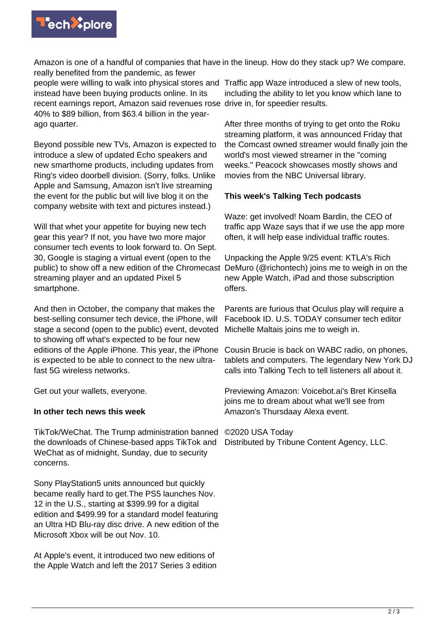

Amazon is one of a handful of companies that have in the lineup. How do they stack up? We compare. really benefited from the pandemic, as fewer

people were willing to walk into physical stores and Traffic app Waze introduced a slew of new tools, instead have been buying products online. In its recent earnings report, Amazon said revenues rose drive in, for speedier results. 40% to \$89 billion, from \$63.4 billion in the yearago quarter.

Beyond possible new TVs, Amazon is expected to introduce a slew of updated Echo speakers and new smarthome products, including updates from Ring's video doorbell division. (Sorry, folks. Unlike Apple and Samsung, Amazon isn't live streaming the event for the public but will live blog it on the company website with text and pictures instead.)

Will that whet your appetite for buying new tech gear this year? If not, you have two more major consumer tech events to look forward to. On Sept. 30, Google is staging a virtual event (open to the public) to show off a new edition of the Chromecast streaming player and an updated Pixel 5 smartphone.

And then in October, the company that makes the best-selling consumer tech device, the iPhone, will stage a second (open to the public) event, devoted to showing off what's expected to be four new editions of the Apple iPhone. This year, the iPhone is expected to be able to connect to the new ultrafast 5G wireless networks.

Get out your wallets, everyone.

#### **In other tech news this week**

TikTok/WeChat. The Trump administration banned the downloads of Chinese-based apps TikTok and WeChat as of midnight, Sunday, due to security concerns.

Sony PlayStation5 units announced but quickly became really hard to get.The PS5 launches Nov. 12 in the U.S., starting at \$399.99 for a digital edition and \$499.99 for a standard model featuring an Ultra HD Blu-ray disc drive. A new edition of the Microsoft Xbox will be out Nov. 10.

At Apple's event, it introduced two new editions of the Apple Watch and left the 2017 Series 3 edition including the ability to let you know which lane to

After three months of trying to get onto the Roku streaming platform, it was announced Friday that the Comcast owned streamer would finally join the world's most viewed streamer in the "coming weeks." Peacock showcases mostly shows and movies from the NBC Universal library.

## **This week's Talking Tech podcasts**

Waze: get involved! Noam Bardin, the CEO of traffic app Waze says that if we use the app more often, it will help ease individual traffic routes.

Unpacking the Apple 9/25 event: KTLA's Rich DeMuro (@richontech) joins me to weigh in on the new Apple Watch, iPad and those subscription offers.

Parents are furious that Oculus play will require a Facebook ID. U.S. TODAY consumer tech editor Michelle Maltais joins me to weigh in.

Cousin Brucie is back on WABC radio, on phones, tablets and computers. The legendary New York DJ calls into Talking Tech to tell listeners all about it.

Previewing Amazon: Voicebot.ai's Bret Kinsella joins me to dream about what we'll see from Amazon's Thursdaay Alexa event.

©2020 USA Today

Distributed by Tribune Content Agency, LLC.